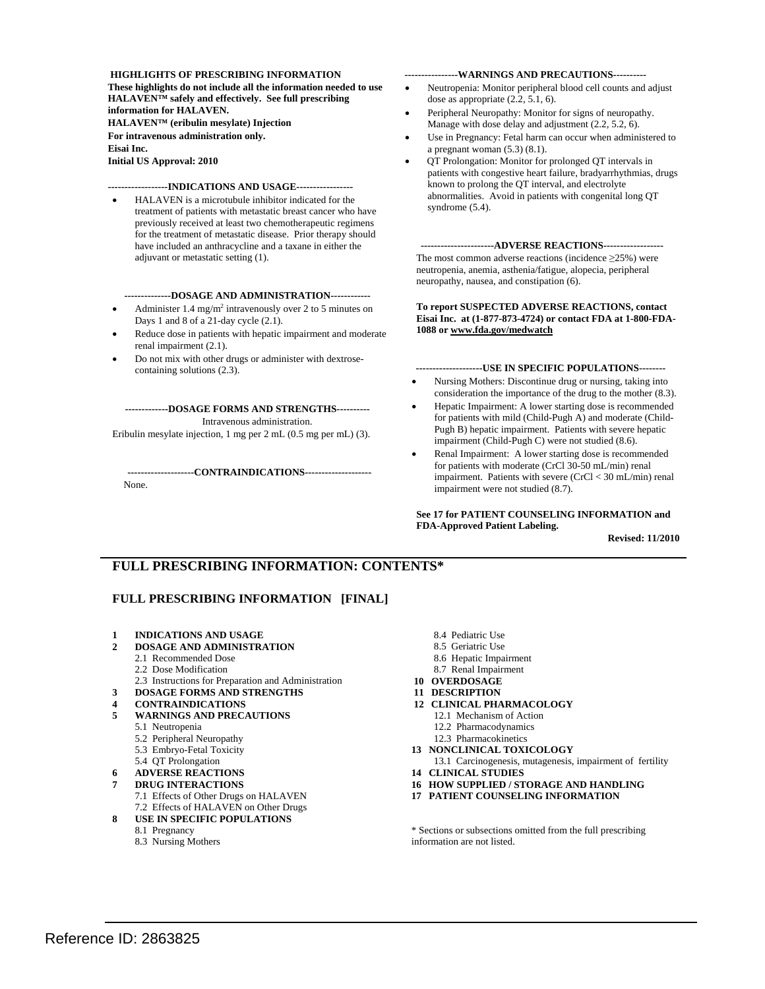#### **HIGHLIGHTS OF PRESCRIBING INFORMATION**

**These highlights do not include all the information needed to use HALAVEN™ safely and effectively. See full prescribing information for HALAVEN.** 

**HALAVEN™ (eribulin mesylate) Injection** 

 **For intravenous administration only. Eisai Inc.** 

**Initial US Approval: 2010** 

#### **------------------INDICATIONS AND USAGE-----------------**

 adjuvant or metastatic setting (1). HALAVEN is a microtubule inhibitor indicated for the treatment of patients with metastatic breast cancer who have previously received at least two chemotherapeutic regimens for the treatment of metastatic disease. Prior therapy should have included an anthracycline and a taxane in either the

#### **--------------DOSAGE AND ADMINISTRATION------------**

- Days 1 and 8 of a 21-day cycle (2.1). • Administer 1.4 mg/m<sup>2</sup> intravenously over 2 to 5 minutes on
- Reduce dose in patients with hepatic impairment and moderate renal impairment (2.1).
- containing solutions (2.3). Do not mix with other drugs or administer with dextrose-

**-------------DOSAGE FORMS AND STRENGTHS----------**  Intravenous administration.

Eribulin mesylate injection, 1 mg per 2 mL (0.5 mg per mL) (3).

#### **--------------------CONTRAINDICATIONS--------------------**

None.

#### **----------------WARNINGS AND PRECAUTIONS----------**

- dose as appropriate (2.2, 5.1, 6). Neutropenia: Monitor peripheral blood cell counts and adjust
- Peripheral Neuropathy: Monitor for signs of neuropathy. Manage with dose delay and adjustment (2.2, 5.2, 6).
- a pregnant woman (5.3) (8.1). Use in Pregnancy: Fetal harm can occur when administered to
- QT Prolongation: Monitor for prolonged QT intervals in patients with congestive heart failure, bradyarrhythmias, drugs known to prolong the QT interval, and electrolyte abnormalities. Avoid in patients with congenital long QT syndrome (5.4).

**----------------------ADVERSE REACTIONS------------------**  The most common adverse reactions (incidence  $\geq$ 25%) were neutropenia, anemia, asthenia/fatigue, alopecia, peripheral neuropathy, nausea, and constipation (6).

#### **To report SUSPECTED ADVERSE REACTIONS, contact Eisai Inc. at (1-877-873-4724) or contact FDA at 1-800-FDA-1088 or [www.fda.gov/medwatch](http://www.fda.gov/medwatch)**

**--------------------USE IN SPECIFIC POPULATIONS--------** 

- consideration the importance of the drug to the mother (8.3). Nursing Mothers: Discontinue drug or nursing, taking into
- Hepatic Impairment: A lower starting dose is recommended for patients with mild (Child-Pugh A) and moderate (Child-Pugh B) hepatic impairment. Patients with severe hepatic impairment (Child-Pugh C) were not studied (8.6).
- Renal Impairment: A lower starting dose is recommended for patients with moderate (CrCl 30-50 mL/min) renal impairment. Patients with severe (CrCl < 30 mL/min) renal impairment were not studied (8.7).

#### **See 17 for PATIENT COUNSELING INFORMATION and FDA-Approved Patient Labeling.**

**Revised: 11/2010** 

## **FULL PRESCRIBING INFORMATION: CONTENTS\***

#### **FULL PRESCRIBING INFORMATION [FINAL]**

- **1 INDICATIONS AND USAGE** 8.4 Pediatric Use
- **2 DOSAGE AND ADMINISTRATION** 8.5 Geriatric Use
	- 2.1 Recommended Dose
	- 2.2 Dose Modification
	- 2.3 Instructions for Preparation and Administration
	- **DOSAGE FORMS AND STRENGTHS**
- **4 CONTRAINDICATIONS 12 CLINICAL PHARMACOLOGY**
- **5 WARNINGS AND PRECAUTIONS** 12.1 Mechanism of Action
	- 5.1 Neutropenia

**3** 

**8** 

- 5.2 Peripheral Neuropathy
- 5.3 Embryo-Fetal Toxicity
- 5.4 QT Prolongation
- **ADVERSE REACTIONS**
- **6 7 DRUG INTERACTIONS**  7.1 Effects of Other Drugs on HALAVEN
	- 7.2 Effects of HALAVEN on Other Drugs
	- **USE IN SPECIFIC POPULATIONS**
	- 8.1 Pregnancy
	- 8.3 Nursing Mothers
- 
- 
- 8.6 Hepatic Impairment
- 8.7 Renal Impairment
- **OVERDOSAGE 10 OVERDOSAGE<br>11 DESCRIPTION**
- 
- -
	- 12.2 Pharmacodynamics
	- 12.3 Pharmacokinetics
- **13 NONCLINICAL TOXICOLOGY**
- 13.1 Carcinogenesis, mutagenesis, impairment of fertility
- **14 CLINICAL STUDIES**
- **16 HOW SUPPLIED / STORAGE AND HANDLING**
- **17 PATIENT COUNSELING INFORMATION**

\* Sections or subsections omitted from the full prescribing information are not listed.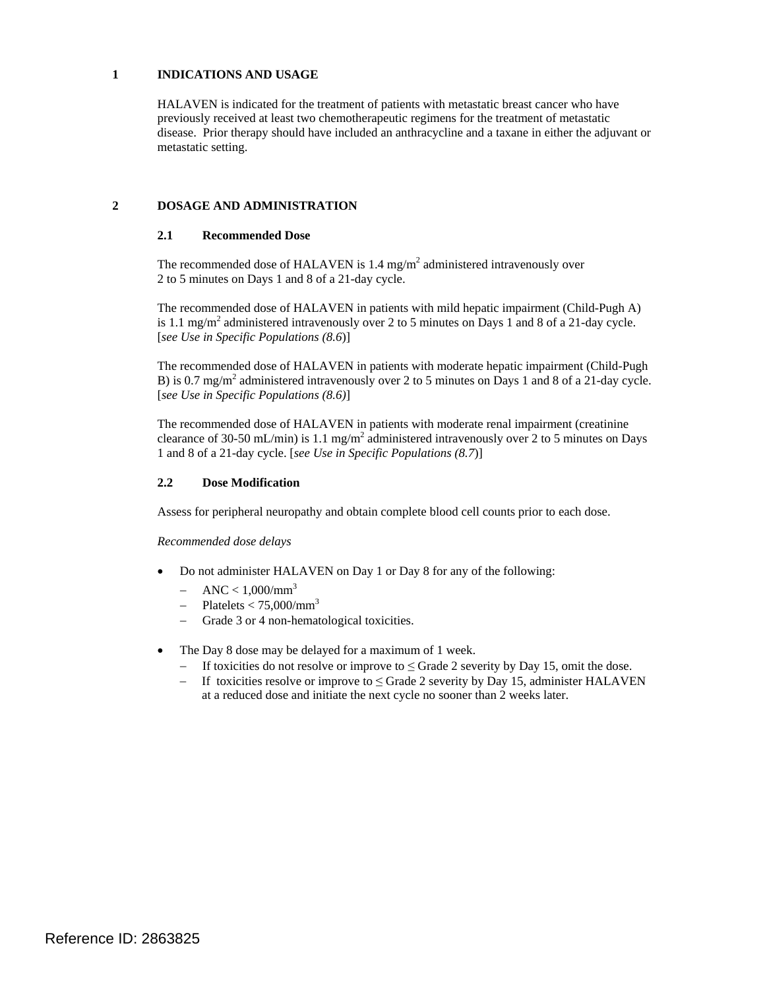#### **1 INDICATIONS AND USAGE**

HALAVEN is indicated for the treatment of patients with metastatic breast cancer who have previously received at least two chemotherapeutic regimens for the treatment of metastatic disease. Prior therapy should have included an anthracycline and a taxane in either the adjuvant or metastatic setting.

## **2 DOSAGE AND ADMINISTRATION**

## **2.1 Recommended Dose**

The recommended dose of HALAVEN is 1.4 mg/m<sup>2</sup> administered intravenously over 2 to 5 minutes on Days 1 and 8 of a 21-day cycle.

is 1.1 mg/m<sup>2</sup> administered intravenously over 2 to 5 minutes on Days 1 and 8 of a 21-day cycle. The recommended dose of HALAVEN in patients with mild hepatic impairment (Child-Pugh A) [*see Use in Specific Populations (8.6*)]

B) is 0.7 mg/m<sup>2</sup> administered intravenously over 2 to 5 minutes on Days 1 and 8 of a 21-day cycle. The recommended dose of HALAVEN in patients with moderate hepatic impairment (Child-Pugh [*see Use in Specific Populations (8.6)*]

The recommended dose of HALAVEN in patients with moderate renal impairment (creatinine clearance of 30-50 mL/min) is 1.1 mg/m<sup>2</sup> administered intravenously over 2 to 5 minutes on Days 1 and 8 of a 21-day cycle. [*see Use in Specific Populations (8.7*)]

#### **2.2 Dose Modification**

Assess for peripheral neuropathy and obtain complete blood cell counts prior to each dose.

*Recommended dose delays* 

- Do not administer HALAVEN on Day 1 or Day 8 for any of the following:
	- $-$  ANC < 1,000/mm<sup>3</sup>
	- $-$  Platelets < 75,000/mm<sup>3</sup>
	- − Grade 3 or 4 non-hematological toxicities.
- The Day 8 dose may be delayed for a maximum of 1 week.
	- − If toxicities do not resolve or improve to ≤ Grade 2 severity by Day 15, omit the dose.
	- − If toxicities resolve or improve to ≤ Grade 2 severity by Day 15, administer HALAVEN at a reduced dose and initiate the next cycle no sooner than 2 weeks later.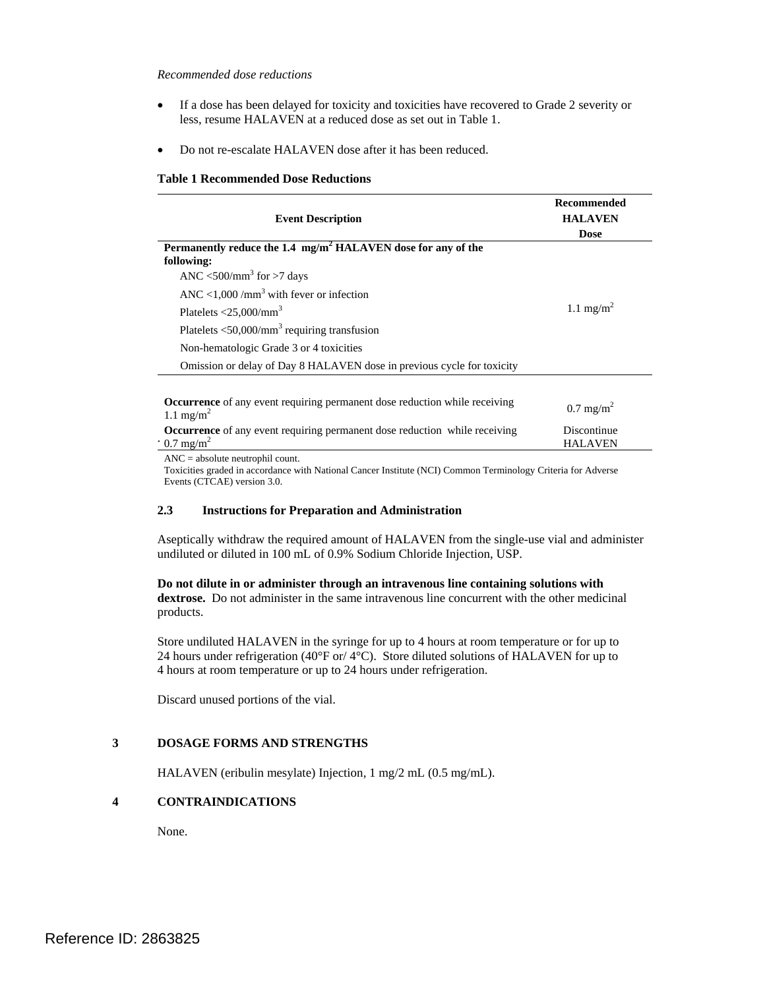#### *Recommended dose reductions*

- • If a dose has been delayed for toxicity and toxicities have recovered to Grade 2 severity or less, resume HALAVEN at a reduced dose as set out in Table 1.
- Do not re-escalate HALAVEN dose after it has been reduced.

#### **Table 1 Recommended Dose Reductions**

| <b>Event Description</b>                                                                                           | <b>Recommended</b><br><b>HALAVEN</b><br><b>Dose</b> |
|--------------------------------------------------------------------------------------------------------------------|-----------------------------------------------------|
| Permanently reduce the 1.4 mg/m <sup>2</sup> HALAVEN dose for any of the<br>following:                             |                                                     |
| ANC $\langle 500/\text{mm}^3$ for $>7$ days                                                                        |                                                     |
| ANC <1,000 /mm <sup>3</sup> with fever or infection                                                                |                                                     |
| Platelets $<$ 25,000/mm <sup>3</sup>                                                                               | 1.1 mg/m <sup>2</sup>                               |
| Platelets $\langle 50,000/ \text{mm}^3$ requiring transfusion                                                      |                                                     |
| Non-hematologic Grade 3 or 4 toxicities                                                                            |                                                     |
| Omission or delay of Day 8 HALAVEN dose in previous cycle for toxicity                                             |                                                     |
|                                                                                                                    |                                                     |
| <b>Occurrence</b> of any event requiring permanent dose reduction while receiving<br>1.1 mg/m <sup>2</sup>         | $0.7 \text{ mg/m}^2$                                |
| <b>Occurrence</b> of any event requiring permanent dose reduction while receiving<br>$\cdot$ 0.7 mg/m <sup>2</sup> | Discontinue<br><b>HALAVEN</b>                       |

 $ANC = absolute$  neutrophil count.

 Events (CTCAE) version 3.0. Toxicities graded in accordance with National Cancer Institute (NCI) Common Terminology Criteria for Adverse

#### **2.3 Instructions for Preparation and Administration**

 undiluted or diluted in 100 mL of 0.9% Sodium Chloride Injection, USP. Aseptically withdraw the required amount of HALAVEN from the single-use vial and administer

 **dextrose.** Do not administer in the same intravenous line concurrent with the other medicinal products. **Do not dilute in or administer through an intravenous line containing solutions with** 

products.<br>Store undiluted HALAVEN in the syringe for up to 4 hours at room temperature or for up to 24 hours under refrigeration (40 $\degree$ F or/ 4 $\degree$ C). Store diluted solutions of HALAVEN for up to 4 hours at room temperature or up to 24 hours under refrigeration.

Discard unused portions of the vial.

## **3 DOSAGE FORMS AND STRENGTHS**

HALAVEN (eribulin mesylate) Injection, 1 mg/2 mL (0.5 mg/mL).

#### **4 CONTRAINDICATIONS**

None.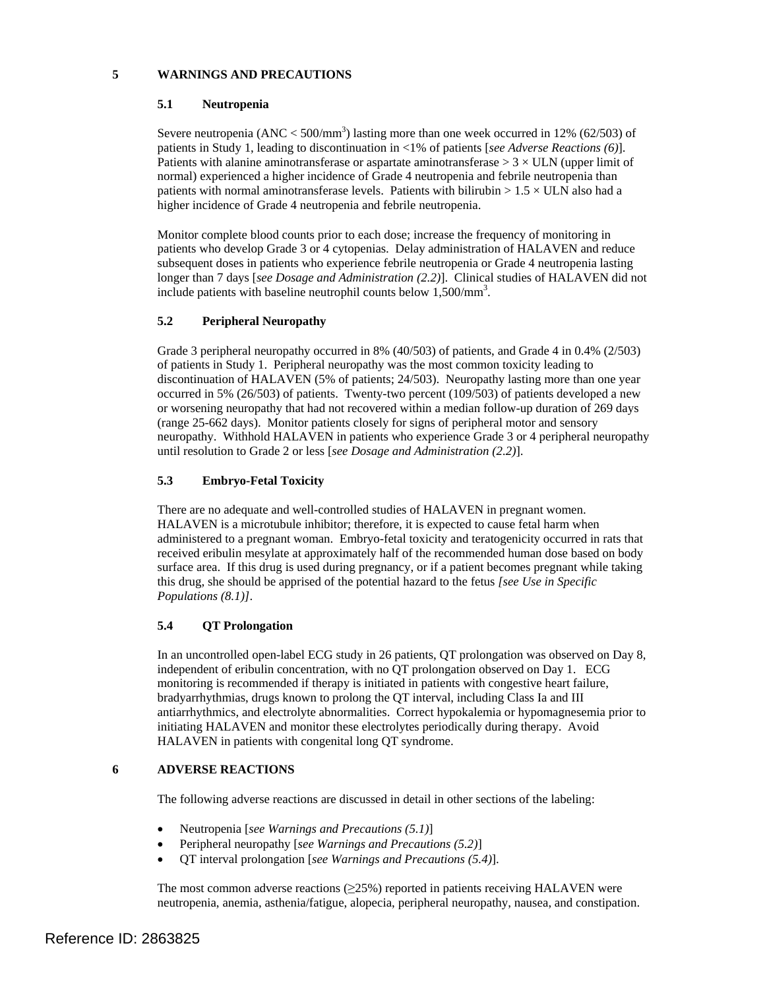## **5 WARNINGS AND PRECAUTIONS**

#### **5.1 Neutropenia**

Severe neutropenia (ANC  $<$  500/mm<sup>3</sup>) lasting more than one week occurred in 12% (62/503) of patients in Study 1, leading to discontinuation in <1% of patients [*see Adverse Reactions (6)*]. Patients with alanine aminotransferase or aspartate aminotransferase  $> 3 \times ULN$  (upper limit of normal) experienced a higher incidence of Grade 4 neutropenia and febrile neutropenia than patients with normal aminotransferase levels. Patients with bilirubin  $> 1.5 \times$  ULN also had a higher incidence of Grade 4 neutropenia and febrile neutropenia.

 longer than 7 days [*see Dosage and Administration (2.2)*]. Clinical studies of HALAVEN did not Monitor complete blood counts prior to each dose; increase the frequency of monitoring in patients who develop Grade 3 or 4 cytopenias. Delay administration of HALAVEN and reduce subsequent doses in patients who experience febrile neutropenia or Grade 4 neutropenia lasting include patients with baseline neutrophil counts below 1,500/mm<sup>3</sup>.

## **5.2 Peripheral Neuropathy**

 Grade 3 peripheral neuropathy occurred in 8% (40/503) of patients, and Grade 4 in 0.4% (2/503) discontinuation of HALAVEN (5% of patients; 24/503). Neuropathy lasting more than one year or worsening neuropathy that had not recovered within a median follow-up duration of 269 days neuropathy. Withhold HALAVEN in patients who experience Grade 3 or 4 peripheral neuropathy until resolution to Grade 2 or less [*see Dosage and Administration (2.2)*]. of patients in Study 1. Peripheral neuropathy was the most common toxicity leading to occurred in 5% (26/503) of patients. Twenty-two percent (109/503) of patients developed a new (range 25-662 days). Monitor patients closely for signs of peripheral motor and sensory

# **5.3 Embryo-Fetal Toxicity**

 There are no adequate and well-controlled studies of HALAVEN in pregnant women. administered to a pregnant woman. Embryo-fetal toxicity and teratogenicity occurred in rats that HALAVEN is a microtubule inhibitor; therefore, it is expected to cause fetal harm when received eribulin mesylate at approximately half of the recommended human dose based on body surface area. If this drug is used during pregnancy, or if a patient becomes pregnant while taking this drug, she should be apprised of the potential hazard to the fetus *[see Use in Specific Populations (8.1)]*.

## **5.4 QT Prolongation**

 In an uncontrolled open-label ECG study in 26 patients, QT prolongation was observed on Day 8, independent of eribulin concentration, with no QT prolongation observed on Day 1. ECG bradyarrhythmias, drugs known to prolong the QT interval, including Class Ia and III monitoring is recommended if therapy is initiated in patients with congestive heart failure, antiarrhythmics, and electrolyte abnormalities. Correct hypokalemia or hypomagnesemia prior to initiating HALAVEN and monitor these electrolytes periodically during therapy. Avoid HALAVEN in patients with congenital long QT syndrome.

## **6 ADVERSE REACTIONS**

The following adverse reactions are discussed in detail in other sections of the labeling:

- Neutropenia [*see Warnings and Precautions (5.1)*]
- Peripheral neuropathy [*see Warnings and Precautions (5.2)*]
- QT interval prolongation [*see Warnings and Precautions (5.4)*].

 neutropenia, anemia, asthenia/fatigue, alopecia, peripheral neuropathy, nausea, and constipation. The most common adverse reactions  $(\geq 25\%)$  reported in patients receiving HALAVEN were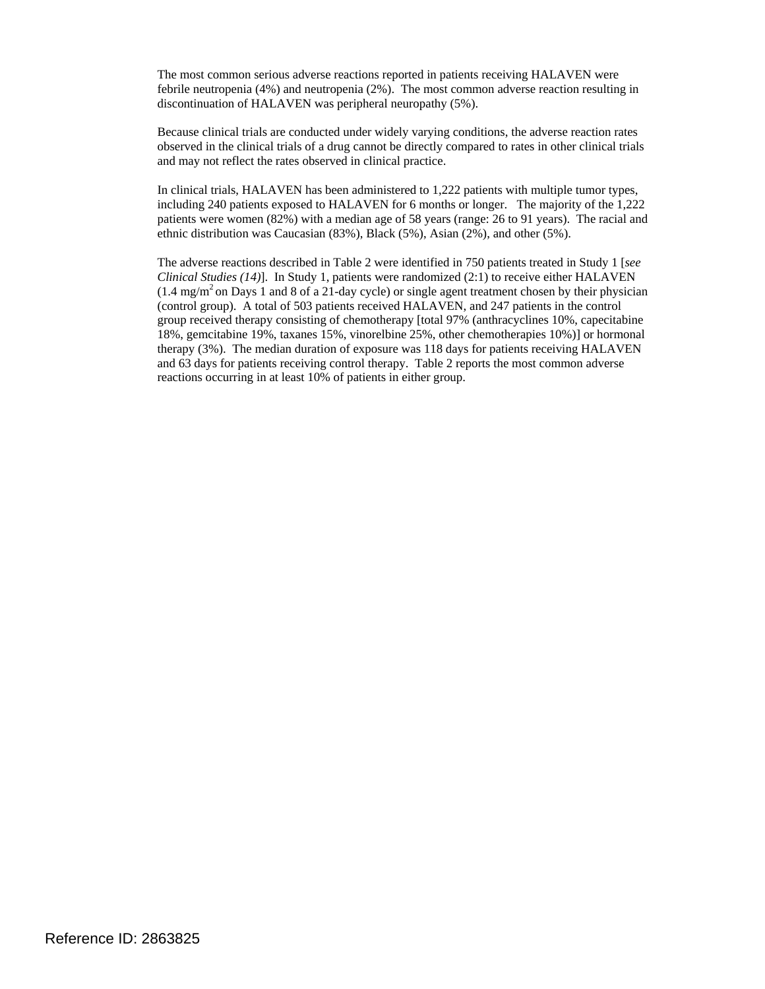The most common serious adverse reactions reported in patients receiving HALAVEN were febrile neutropenia (4%) and neutropenia (2%). The most common adverse reaction resulting in discontinuation of HALAVEN was peripheral neuropathy (5%).

Because clinical trials are conducted under widely varying conditions, the adverse reaction rates observed in the clinical trials of a drug cannot be directly compared to rates in other clinical trials and may not reflect the rates observed in clinical practice.

 including 240 patients exposed to HALAVEN for 6 months or longer. The majority of the 1,222 patients were women (82%) with a median age of 58 years (range: 26 to 91 years). The racial and In clinical trials, HALAVEN has been administered to 1,222 patients with multiple tumor types, ethnic distribution was Caucasian (83%), Black (5%), Asian (2%), and other (5%).

 $(1.4 \text{ mg/m}^2 \text{ on Days } 1 \text{ and } 8 \text{ of a } 21 \text{-day cycle})$  or single agent treatment chosen by their physician (control group). A total of 503 patients received HALAVEN, and 247 patients in the control 18%, gemcitabine 19%, taxanes 15%, vinorelbine 25%, other chemotherapies 10%)] or hormonal The adverse reactions described in Table 2 were identified in 750 patients treated in Study 1 [*see Clinical Studies (14)*]. In Study 1, patients were randomized (2:1) to receive either HALAVEN group received therapy consisting of chemotherapy [total 97% (anthracyclines 10%, capecitabine therapy (3%). The median duration of exposure was 118 days for patients receiving HALAVEN and 63 days for patients receiving control therapy. Table 2 reports the most common adverse reactions occurring in at least 10% of patients in either group.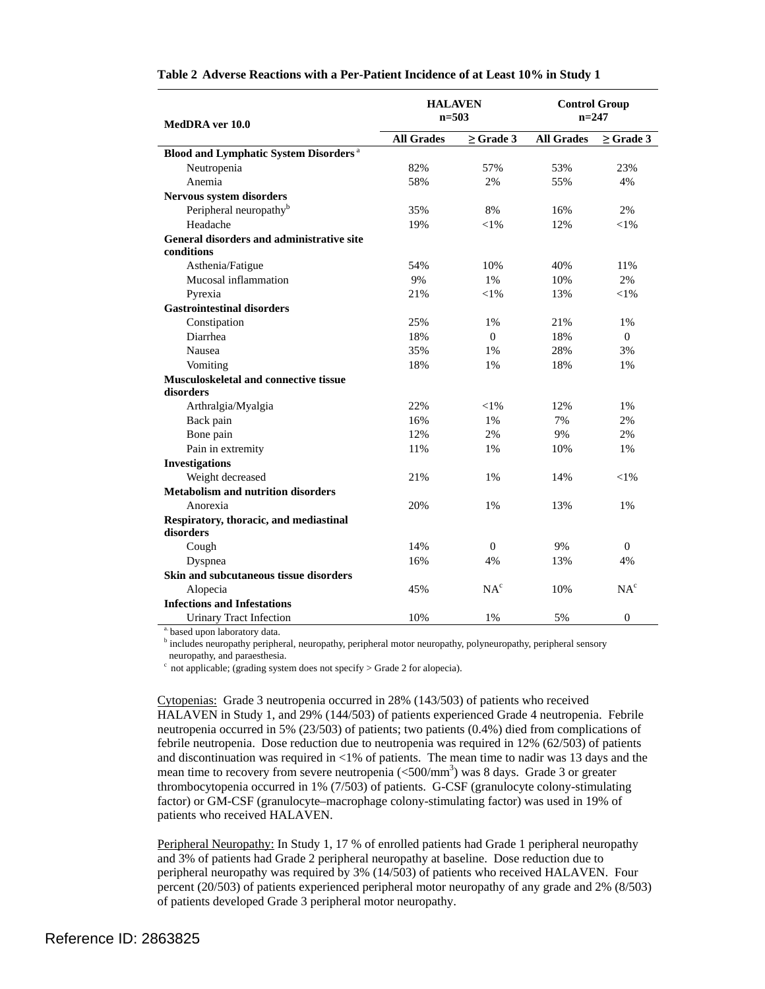| MedDRA ver 10.0                                          | <b>HALAVEN</b><br>$n = 503$ |                 | <b>Control Group</b><br>$n = 247$ |                 |
|----------------------------------------------------------|-----------------------------|-----------------|-----------------------------------|-----------------|
|                                                          | <b>All Grades</b>           | $>$ Grade 3     | <b>All Grades</b>                 | $>$ Grade 3     |
| <b>Blood and Lymphatic System Disorders</b> <sup>a</sup> |                             |                 |                                   |                 |
| Neutropenia                                              | 82%                         | 57%             | 53%                               | 23%             |
| Anemia                                                   | 58%                         | 2%              | 55%                               | 4%              |
| Nervous system disorders                                 |                             |                 |                                   |                 |
| Peripheral neuropathy <sup>b</sup>                       | 35%                         | 8%              | 16%                               | 2%              |
| Headache                                                 | 19%                         | $< 1\%$         | 12%                               | $<$ 1%          |
| <b>General disorders and administrative site</b>         |                             |                 |                                   |                 |
| conditions                                               |                             |                 |                                   |                 |
| Asthenia/Fatigue                                         | 54%                         | 10%             | 40%                               | 11%             |
| Mucosal inflammation                                     | 9%                          | $1\%$           | 10%                               | 2%              |
| Pyrexia                                                  | 21%                         | $<$ 1%          | 13%                               | $< 1\%$         |
| <b>Gastrointestinal disorders</b>                        |                             |                 |                                   |                 |
| Constipation                                             | 25%                         | 1%              | 21%                               | 1%              |
| Diarrhea                                                 | 18%                         | $\theta$        | 18%                               | $\mathbf{0}$    |
| Nausea                                                   | 35%                         | 1%              | 28%                               | 3%              |
| Vomiting                                                 | 18%                         | 1%              | 18%                               | 1%              |
| Musculoskeletal and connective tissue                    |                             |                 |                                   |                 |
| disorders                                                |                             |                 |                                   |                 |
| Arthralgia/Myalgia                                       | 22%                         | ${<}1\%$        | 12%                               | $1\%$           |
| Back pain                                                | 16%                         | 1%              | 7%                                | 2%              |
| Bone pain                                                | 12%                         | 2%              | 9%                                | 2%              |
| Pain in extremity                                        | 11%                         | $1\%$           | 10%                               | 1%              |
| <b>Investigations</b>                                    |                             |                 |                                   |                 |
| Weight decreased                                         | 21%                         | 1%              | 14%                               | $<$ 1%          |
| <b>Metabolism and nutrition disorders</b>                |                             |                 |                                   |                 |
| Anorexia                                                 | 20%                         | $1\%$           | 13%                               | $1\%$           |
| Respiratory, thoracic, and mediastinal<br>disorders      |                             |                 |                                   |                 |
| Cough                                                    | 14%                         | $\Omega$        | 9%                                | $\Omega$        |
| Dyspnea                                                  | 16%                         | 4%              | 13%                               | 4%              |
| Skin and subcutaneous tissue disorders                   |                             |                 |                                   |                 |
| Alopecia                                                 | 45%                         | NA <sup>c</sup> | 10%                               | NA <sup>c</sup> |
| <b>Infections and Infestations</b>                       |                             |                 |                                   |                 |
| <b>Urinary Tract Infection</b>                           | 10%                         | 1%              | 5%                                | $\theta$        |

#### **Table 2 Adverse Reactions with a Per-Patient Incidence of at Least 10% in Study 1**

based upon laboratory data.

<sup>b</sup> includes neuropathy peripheral, neuropathy, peripheral motor neuropathy, polyneuropathy, peripheral sensory neuropathy, and paraesthesia.

 $\degree$  not applicable; (grading system does not specify > Grade 2 for alopecia).

 HALAVEN in Study 1, and 29% (144/503) of patients experienced Grade 4 neutropenia. Febrile and discontinuation was required in <1% of patients. The mean time to nadir was 13 days and the Cytopenias: Grade 3 neutropenia occurred in 28% (143/503) of patients who received neutropenia occurred in 5% (23/503) of patients; two patients (0.4%) died from complications of febrile neutropenia. Dose reduction due to neutropenia was required in 12% (62/503) of patients mean time to recovery from severe neutropenia (<500/mm<sup>3</sup>) was 8 days. Grade 3 or greater thrombocytopenia occurred in 1% (7/503) of patients. G-CSF (granulocyte colony-stimulating factor) or GM-CSF (granulocyte–macrophage colony-stimulating factor) was used in 19% of patients who received HALAVEN.

Peripheral Neuropathy: In Study 1, 17 % of enrolled patients had Grade 1 peripheral neuropathy and 3% of patients had Grade 2 peripheral neuropathy at baseline. Dose reduction due to percent (20/503) of patients experienced peripheral motor neuropathy of any grade and 2% (8/503) peripheral neuropathy was required by 3% (14/503) of patients who received HALAVEN. Four of patients developed Grade 3 peripheral motor neuropathy.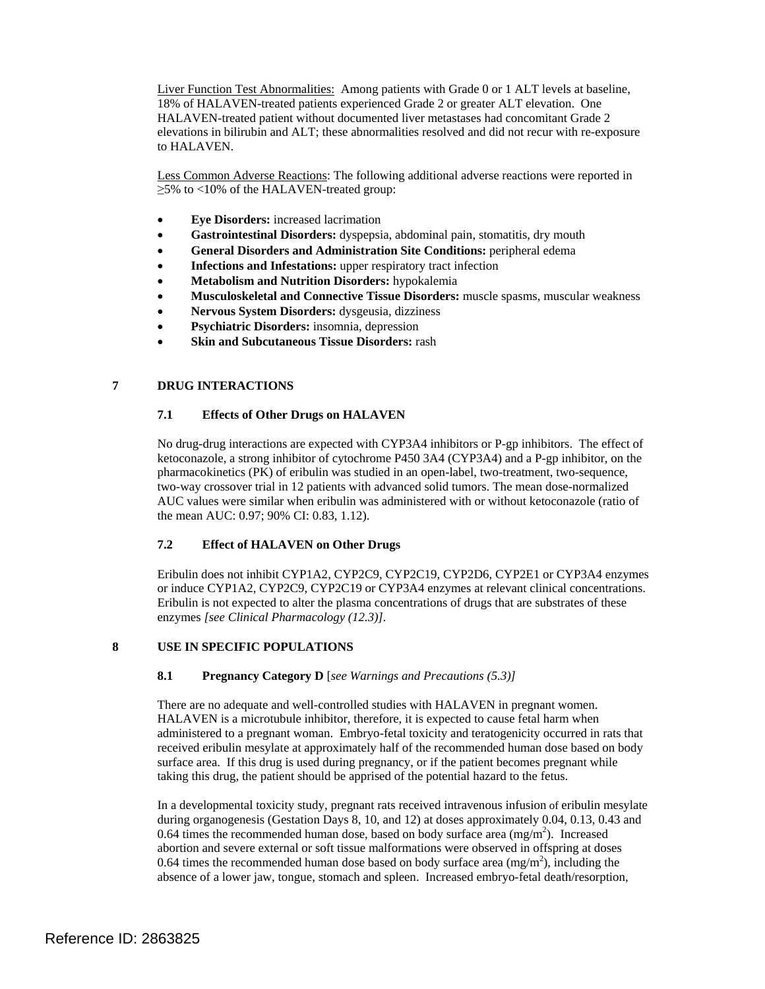Liver Function Test Abnormalities: Among patients with Grade 0 or 1 ALT levels at baseline, elevations in bilirubin and ALT; these abnormalities resolved and did not recur with re-exposure 18% of HALAVEN-treated patients experienced Grade 2 or greater ALT elevation. One HALAVEN-treated patient without documented liver metastases had concomitant Grade 2 to HALAVEN.

 ≥5% to <10% of the HALAVEN-treated group: Less Common Adverse Reactions: The following additional adverse reactions were reported in

- **Eye Disorders:** increased lacrimation
- **Gastrointestinal Disorders:** dyspepsia, abdominal pain, stomatitis, dry mouth
- **General Disorders and Administration Site Conditions:** peripheral edema
- **Infections and Infestations:** upper respiratory tract infection
- **Metabolism and Nutrition Disorders:** hypokalemia
- **Musculoskeletal and Connective Tissue Disorders:** muscle spasms, muscular weakness
- **Nervous System Disorders:** dysgeusia, dizziness
- **Psychiatric Disorders:** insomnia, depression
- **Skin and Subcutaneous Tissue Disorders:** rash

# **7 DRUG INTERACTIONS**

#### **7.1 Effects of Other Drugs on HALAVEN**

 No drug-drug interactions are expected with CYP3A4 inhibitors or P-gp inhibitors. The effect of two-way crossover trial in 12 patients with advanced solid tumors. The mean dose-normalized AUC values were similar when eribulin was administered with or without ketoconazole (ratio of the mean AUC: 0.97; 90% CI: 0.83, 1.12). ketoconazole, a strong inhibitor of cytochrome P450 3A4 (CYP3A4) and a P-gp inhibitor, on the pharmacokinetics (PK) of eribulin was studied in an open-label, two-treatment, two-sequence,

#### **7.2 Effect of HALAVEN on Other Drugs**

Eribulin does not inhibit CYP1A2, CYP2C9, CYP2C19, CYP2D6, CYP2E1 or CYP3A4 enzymes or induce CYP1A2, CYP2C9, CYP2C19 or CYP3A4 enzymes at relevant clinical concentrations. Eribulin is not expected to alter the plasma concentrations of drugs that are substrates of these enzymes *[see Clinical Pharmacology (12.3)].* 

#### **8 USE IN SPECIFIC POPULATIONS**

#### **8.1 Pregnancy Category D** [*see Warnings and Precautions (5.3)]*

 There are no adequate and well-controlled studies with HALAVEN in pregnant women. administered to a pregnant woman. Embryo-fetal toxicity and teratogenicity occurred in rats that taking this drug, the patient should be apprised of the potential hazard to the fetus. HALAVEN is a microtubule inhibitor, therefore, it is expected to cause fetal harm when received eribulin mesylate at approximately half of the recommended human dose based on body surface area. If this drug is used during pregnancy, or if the patient becomes pregnant while

 during organogenesis (Gestation Days 8, 10, and 12) at doses approximately 0.04, 0.13, 0.43 and abortion and severe external or soft tissue malformations were observed in offspring at doses In a developmental toxicity study, pregnant rats received intravenous infusion of eribulin mesylate 0.64 times the recommended human dose, based on body surface area  $(mg/m<sup>2</sup>)$ . Increased 0.64 times the recommended human dose based on body surface area  $(mg/m<sup>2</sup>)$ , including the absence of a lower jaw, tongue, stomach and spleen. Increased embryo-fetal death/resorption,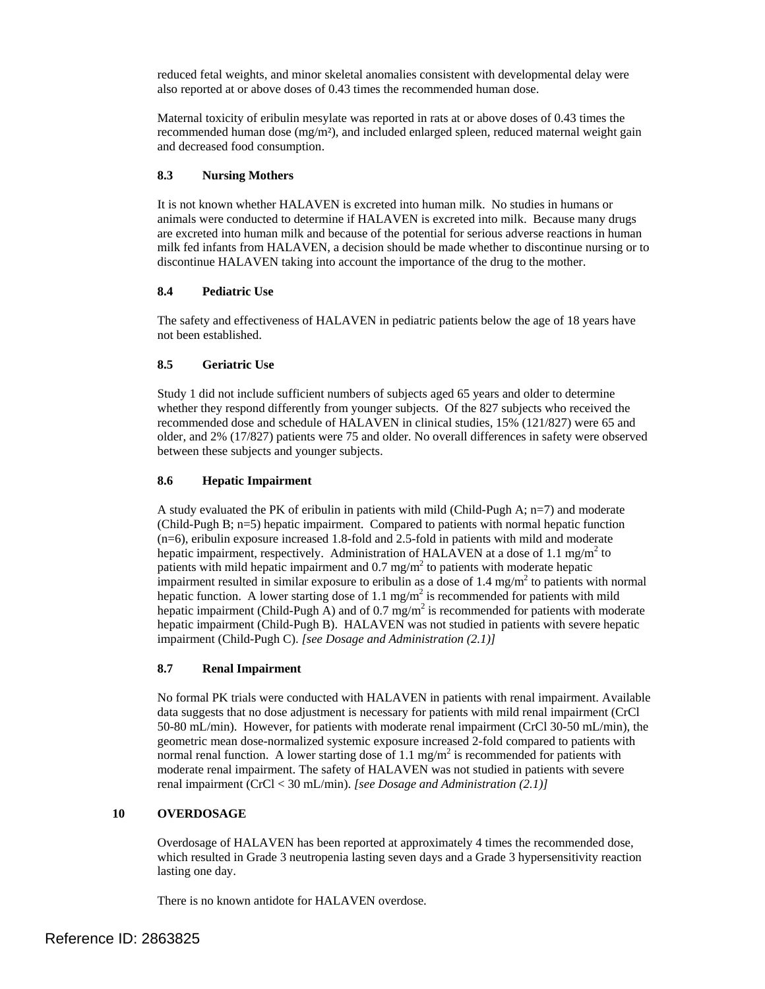reduced fetal weights, and minor skeletal anomalies consistent with developmental delay were also reported at or above doses of 0.43 times the recommended human dose.

 recommended human dose (mg/m²), and included enlarged spleen, reduced maternal weight gain Maternal toxicity of eribulin mesylate was reported in rats at or above doses of 0.43 times the and decreased food consumption.

# **8.3 Nursing Mothers**

 It is not known whether HALAVEN is excreted into human milk. No studies in humans or animals were conducted to determine if HALAVEN is excreted into milk. Because many drugs are excreted into human milk and because of the potential for serious adverse reactions in human milk fed infants from HALAVEN, a decision should be made whether to discontinue nursing or to discontinue HALAVEN taking into account the importance of the drug to the mother.

# **8.4 Pediatric Use**

 The safety and effectiveness of HALAVEN in pediatric patients below the age of 18 years have not been established.

# **8.5 Geriatric Use**

Study 1 did not include sufficient numbers of subjects aged 65 years and older to determine whether they respond differently from younger subjects. Of the 827 subjects who received the recommended dose and schedule of HALAVEN in clinical studies, 15% (121/827) were 65 and older, and 2% (17/827) patients were 75 and older. No overall differences in safety were observed between these subjects and younger subjects.

# **8.6 Hepatic Impairment**

hepatic function. A lower starting dose of 1.1 mg/m<sup>2</sup> is recommended for patients with mild hepatic impairment (Child-Pugh A) and of 0.7 mg/m<sup>2</sup> is recommended for patients with moderate A study evaluated the PK of eribulin in patients with mild (Child-Pugh A;  $n=7$ ) and moderate (Child-Pugh B; n=5) hepatic impairment. Compared to patients with normal hepatic function (n=6), eribulin exposure increased 1.8-fold and 2.5-fold in patients with mild and moderate hepatic impairment, respectively. Administration of HALAVEN at a dose of 1.1 mg/m<sup>2</sup> to patients with mild hepatic impairment and  $0.7 \text{ mg/m}^2$  to patients with moderate hepatic impairment resulted in similar exposure to eribulin as a dose of  $1.4 \text{ mg/m}^2$  to patients with normal hepatic impairment (Child-Pugh B). HALAVEN was not studied in patients with severe hepatic impairment (Child-Pugh C). *[see Dosage and Administration (2.1)]* 

## **8.7 Renal Impairment**

 No formal PK trials were conducted with HALAVEN in patients with renal impairment. Available normal renal function. A lower starting dose of 1.1 mg/m<sup>2</sup> is recommended for patients with data suggests that no dose adjustment is necessary for patients with mild renal impairment (CrCl 50-80 mL/min). However, for patients with moderate renal impairment (CrCl 30-50 mL/min), the geometric mean dose-normalized systemic exposure increased 2-fold compared to patients with moderate renal impairment. The safety of HALAVEN was not studied in patients with severe renal impairment (CrCl < 30 mL/min). *[see Dosage and Administration (2.1)]* 

# **10 OVERDOSAGE**

 Overdosage of HALAVEN has been reported at approximately 4 times the recommended dose, lasting one day. which resulted in Grade 3 neutropenia lasting seven days and a Grade 3 hypersensitivity reaction

There is no known antidote for HALAVEN overdose.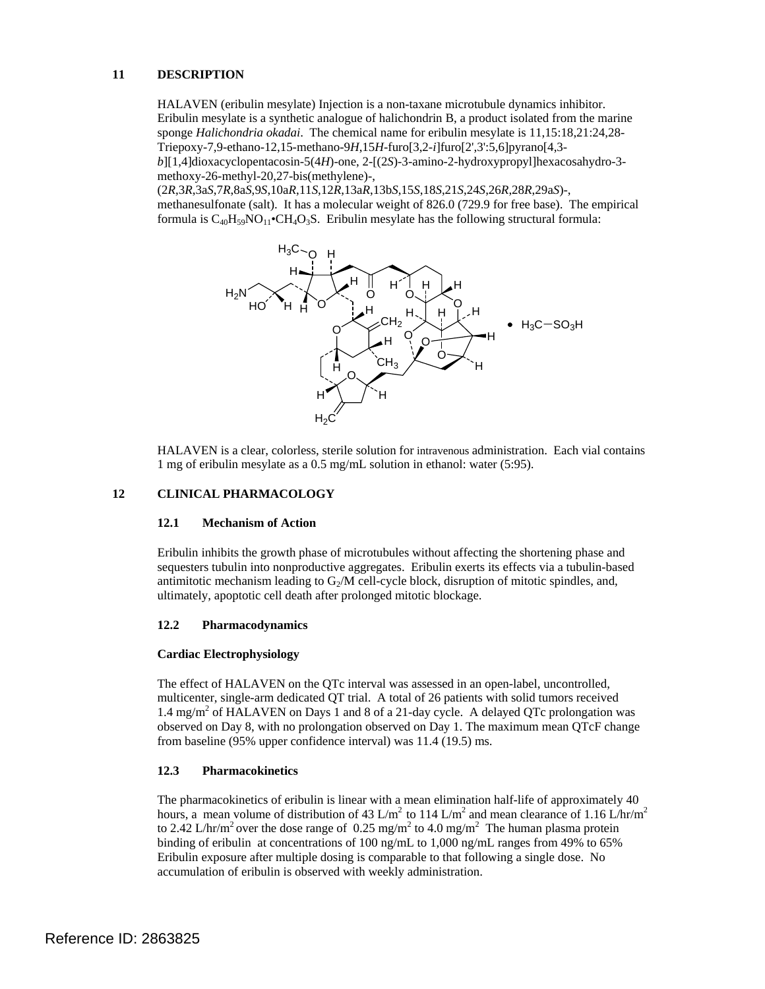#### **11 DESCRIPTION**

HALAVEN (eribulin mesylate) Injection is a non-taxane microtubule dynamics inhibitor. Eribulin mesylate is a synthetic analogue of halichondrin B, a product isolated from the marine sponge *Halichondria okadai*. The chemical name for eribulin mesylate is 11,15:18,21:24,28 Triepoxy-7,9-ethano-12,15-methano-9*H*,15*H*-furo[3,2-*i*]furo[2',3':5,6]pyrano[4,3 *b*][1,4]dioxacyclopentacosin-5(4*H*)-one, 2-[(2*S*)-3-amino-2-hydroxypropyl]hexacosahydro-3 methoxy-26-methyl-20,27-bis(methylene)-,

 methanesulfonate (salt). It has a molecular weight of 826.0 (729.9 for free base). The empirical (2*R*,3*R*,3a*S*,7*R*,8a*S*,9*S*,10a*R*,11*S*,12*R*,13a*R*,13b*S*,15*S*,18*S*,21*S*,24*S*,26*R*,28*R*,29a*S*)-, formula is  $C_{40}H_{59}NO_{11}$  CH<sub>4</sub>O<sub>3</sub>S. Eribulin mesylate has the following structural formula:



 HALAVEN is a clear, colorless, sterile solution for intravenous administration. Each vial contains 1 mg of eribulin mesylate as a 0.5 mg/mL solution in ethanol: water (5:95).

#### **12 CLINICAL PHARMACOLOGY**

#### **12.1 Mechanism of Action**

Eribulin inhibits the growth phase of microtubules without affecting the shortening phase and sequesters tubulin into nonproductive aggregates. Eribulin exerts its effects via a tubulin-based antimitotic mechanism leading to  $G_2/M$  cell-cycle block, disruption of mitotic spindles, and, ultimately, apoptotic cell death after prolonged mitotic blockage.

#### **12.2 Pharmacodynamics**

#### **Cardiac Electrophysiology**

1.4 mg/m<sup>2</sup> of HALAVEN on Days 1 and 8 of a 21-day cycle. A delayed QTc prolongation was observed on Day 8, with no prolongation observed on Day 1. The maximum mean QTcF change The effect of HALAVEN on the QTc interval was assessed in an open-label, uncontrolled, multicenter, single-arm dedicated QT trial. A total of 26 patients with solid tumors received from baseline (95% upper confidence interval) was 11.4 (19.5) ms.

## **12.3 Pharmacokinetics**

The pharmacokinetics of eribulin is linear with a mean elimination half-life of approximately 40 hours, a mean volume of distribution of 43 L/m<sup>2</sup> to 114 L/m<sup>2</sup> and mean clearance of 1.16 L/hr/m<sup>2</sup> to 2.42 L/hr/m<sup>2</sup> over the dose range of 0.25 mg/m<sup>2</sup> to 4.0 mg/m<sup>2</sup> The human plasma protein binding of eribulin at concentrations of 100 ng/mL to 1,000 ng/mL ranges from 49% to 65% Eribulin exposure after multiple dosing is comparable to that following a single dose. No accumulation of eribulin is observed with weekly administration.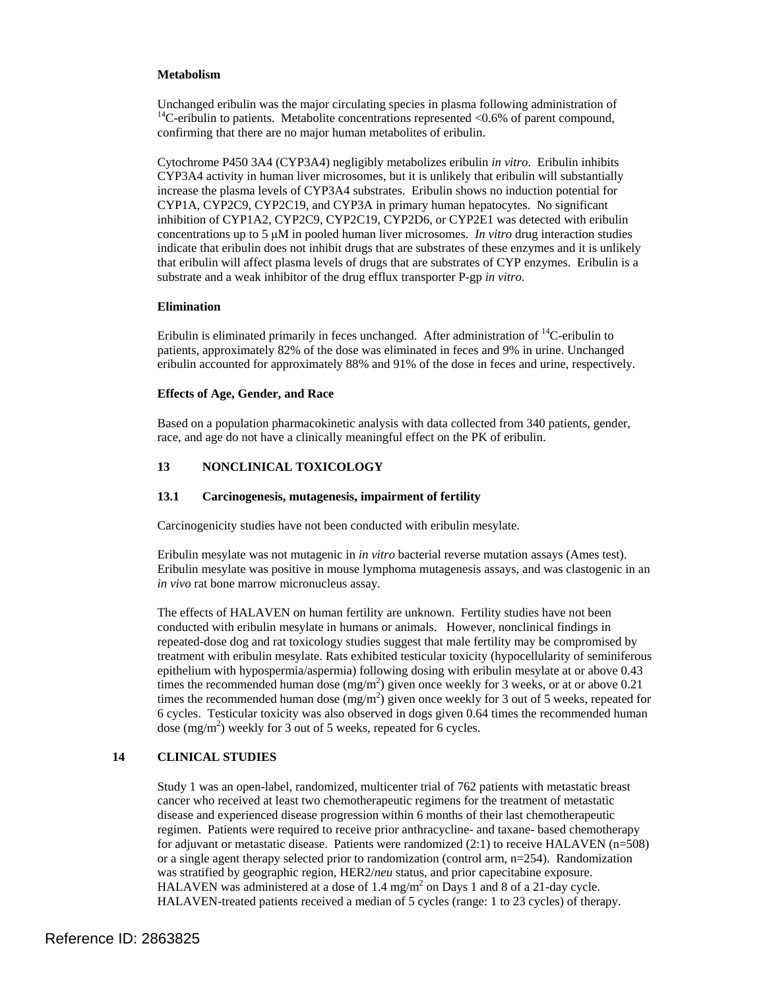#### **Metabolism**

Unchanged eribulin was the major circulating species in plasma following administration of  $14$ C-eribulin to patients. Metabolite concentrations represented <0.6% of parent compound, confirming that there are no major human metabolites of eribulin.

Cytochrome P450 3A4 (CYP3A4) negligibly metabolizes eribulin *in vitro*. Eribulin inhibits CYP3A4 activity in human liver microsomes, but it is unlikely that eribulin will substantially increase the plasma levels of CYP3A4 substrates. Eribulin shows no induction potential for CYP1A, CYP2C9, CYP2C19, and CYP3A in primary human hepatocytes. No significant inhibition of CYP1A2, CYP2C9, CYP2C19, CYP2D6, or CYP2E1 was detected with eribulin concentrations up to 5 μM in pooled human liver microsomes. *In vitro* drug interaction studies indicate that eribulin does not inhibit drugs that are substrates of these enzymes and it is unlikely that eribulin will affect plasma levels of drugs that are substrates of CYP enzymes. Eribulin is a substrate and a weak inhibitor of the drug efflux transporter P-gp *in vitro.* 

#### **Elimination**

 eribulin accounted for approximately 88% and 91% of the dose in feces and urine, respectively. Eribulin is eliminated primarily in feces unchanged. After administration of  ${}^{14}C$ -eribulin to patients, approximately 82% of the dose was eliminated in feces and 9% in urine. Unchanged

#### **Effects of Age, Gender, and Race**

Based on a population pharmacokinetic analysis with data collected from 340 patients, gender, race, and age do not have a clinically meaningful effect on the PK of eribulin.

## **13 NONCLINICAL TOXICOLOGY**

## **13.1 Carcinogenesis, mutagenesis, impairment of fertility**

Carcinogenicity studies have not been conducted with eribulin mesylate.

 Eribulin mesylate was not mutagenic in *in vitro* bacterial reverse mutation assays (Ames test). in vivo rat bone marrow micronucleus assay. *in vivo* rat bone marrow micronucleus assay. The effects of HALAVEN on human fertility are unknown. Fertility studies have not been Eribulin mesylate was positive in mouse lymphoma mutagenesis assays, and was clastogenic in an

 repeated-dose dog and rat toxicology studies suggest that male fertility may be compromised by epithelium with hypospermia/aspermia) following dosing with eribulin mesylate at or above 0.43 6 cycles. Testicular toxicity was also observed in dogs given 0.64 times the recommended human conducted with eribulin mesylate in humans or animals. However, nonclinical findings in treatment with eribulin mesylate. Rats exhibited testicular toxicity (hypocellularity of seminiferous times the recommended human dose  $(mg/m<sup>2</sup>)$  given once weekly for 3 weeks, or at or above 0.21 times the recommended human dose  $(mg/m^2)$  given once weekly for 3 out of 5 weeks, repeated for dose  $(mg/m<sup>2</sup>)$  weekly for 3 out of 5 weeks, repeated for 6 cycles.

#### **14 CLINICAL STUDIES**

 Study 1 was an open-label, randomized, multicenter trial of 762 patients with metastatic breast was stratified by geographic region, HER2/neu status, and prior capecitabine exposure. was stratified by geographic region, HER2/*neu* status, and prior capecitabine exposure.<br>HALAVEN was administered at a dose of 1.4 mg/m<sup>2</sup> on Days 1 and 8 of a 21-day cycle. cancer who received at least two chemotherapeutic regimens for the treatment of metastatic disease and experienced disease progression within 6 months of their last chemotherapeutic regimen. Patients were required to receive prior anthracycline- and taxane- based chemotherapy for adjuvant or metastatic disease. Patients were randomized (2:1) to receive HALAVEN (n=508) or a single agent therapy selected prior to randomization (control arm, n=254). Randomization HALAVEN-treated patients received a median of 5 cycles (range: 1 to 23 cycles) of therapy.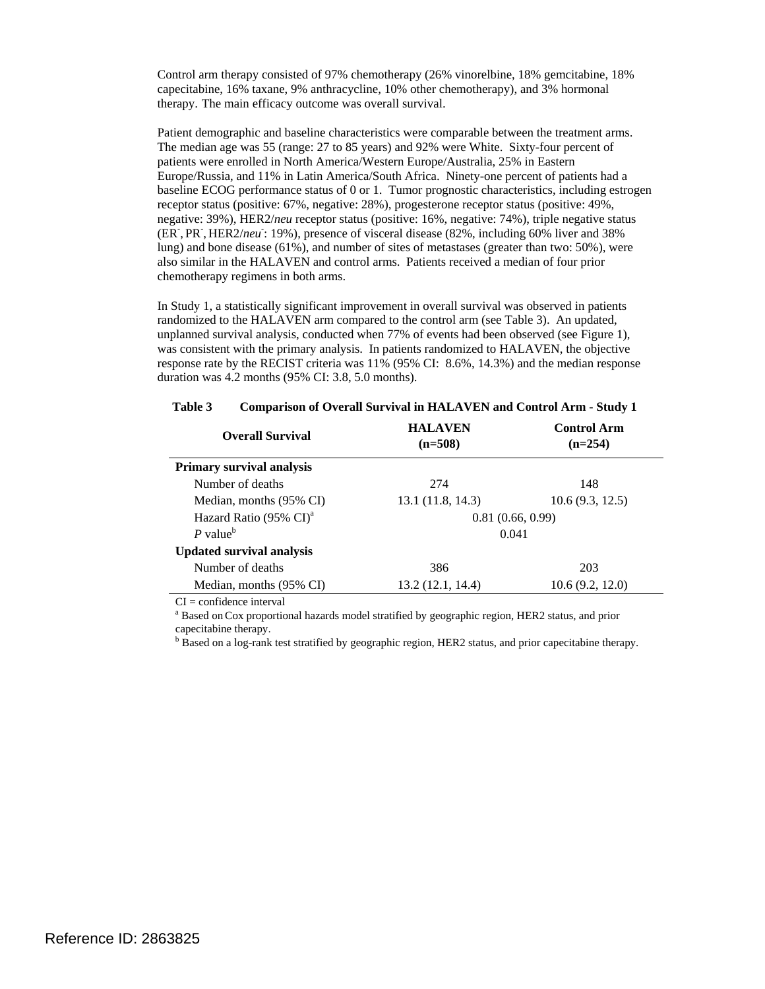Control arm therapy consisted of 97% chemotherapy (26% vinorelbine, 18% gemcitabine, 18% capecitabine, 16% taxane, 9% anthracycline, 10% other chemotherapy), and 3% hormonal therapy. The main efficacy outcome was overall survival.

 The median age was 55 (range: 27 to 85 years) and 92% were White. Sixty-four percent of patients were enrolled in North America/Western Europe/Australia, 25% in Eastern (ER<sup>-</sup>, PR<sup>-</sup>, HER2/*neu*<sup>-</sup>: 19%), presence of visceral disease (82%, including 60% liver and 38% lung) and bone disease (61%), and number of sites of metastases (greater than two: 50%), were Patient demographic and baseline characteristics were comparable between the treatment arms. Europe/Russia, and 11% in Latin America/South Africa. Ninety-one percent of patients had a baseline ECOG performance status of 0 or 1. Tumor prognostic characteristics, including estrogen receptor status (positive: 67%, negative: 28%), progesterone receptor status (positive: 49%, negative: 39%), HER2/*neu* receptor status (positive: 16%, negative: 74%), triple negative status also similar in the HALAVEN and control arms. Patients received a median of four prior chemotherapy regimens in both arms.

In Study 1, a statistically significant improvement in overall survival was observed in patients randomized to the HALAVEN arm compared to the control arm (see Table 3). An updated, unplanned survival analysis, conducted when 77% of events had been observed (see Figure 1), was consistent with the primary analysis. In patients randomized to HALAVEN, the objective response rate by the RECIST criteria was 11% (95% CI: 8.6%, 14.3%) and the median response duration was 4.2 months (95% CI: 3.8, 5.0 months).

| <b>Overall Survival</b>                     | <b>HALAVEN</b><br>$(n=508)$ | <b>Control Arm</b><br>$(n=254)$ |  |
|---------------------------------------------|-----------------------------|---------------------------------|--|
| <b>Primary survival analysis</b>            |                             |                                 |  |
| Number of deaths                            | 274                         | 148                             |  |
| Median, months (95% CI)                     | 13.1 (11.8, 14.3)           | 10.6(9.3, 12.5)                 |  |
| Hazard Ratio $(95\% \text{ CI})^{\text{a}}$ | 0.81(0.66, 0.99)            |                                 |  |
| $P$ value <sup>b</sup>                      | 0.041                       |                                 |  |
| <b>Updated survival analysis</b>            |                             |                                 |  |
| Number of deaths                            | 386                         | 203                             |  |
| Median, months (95% CI)                     | 13.2 (12.1, 14.4)           | 10.6(9.2, 12.0)                 |  |

## **Table 3 Comparison of Overall Survival in HALAVEN and Control Arm - Study 1**

 $CI =$  confidence interval

<sup>a</sup> Based on Cox proportional hazards model stratified by geographic region, HER2 status, and prior capecitabine therapy.

<sup>b</sup> Based on a log-rank test stratified by geographic region, HER2 status, and prior capecitabine therapy.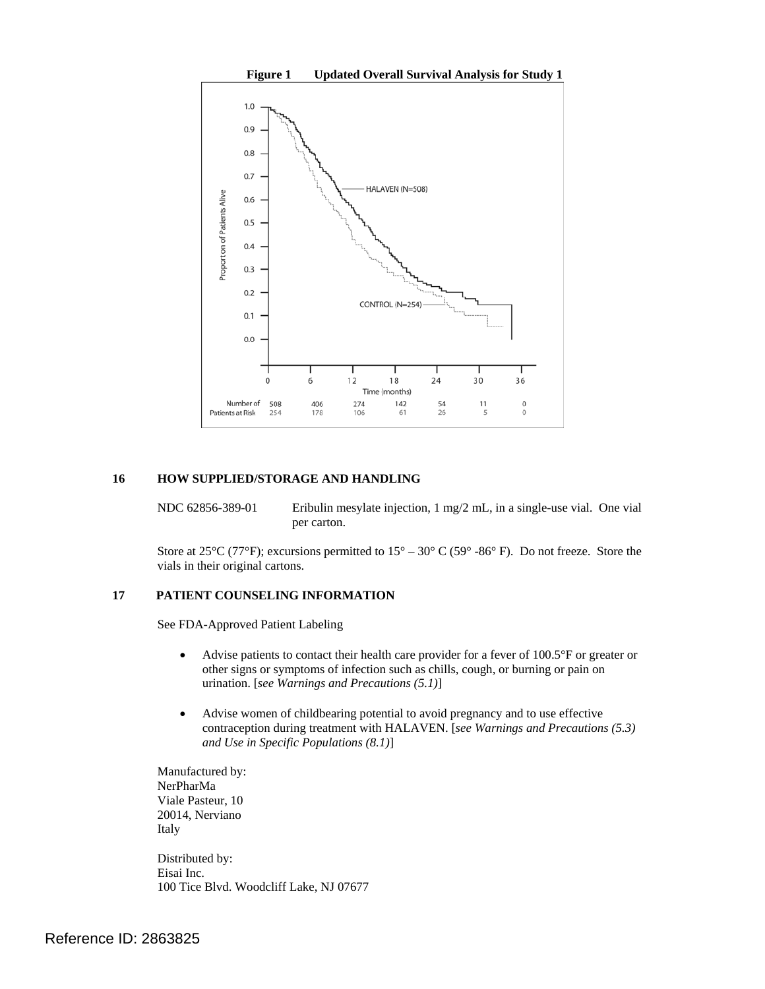

#### **16 HOW SUPPLIED/STORAGE AND HANDLING**

per carton. NDC 62856-389-01 Eribulin mesylate injection, 1 mg/2 mL, in a single-use vial. One vial

Store at 25°C (77°F); excursions permitted to  $15^{\circ} - 30^{\circ}$  C (59° -86° F). Do not freeze. Store the vials in their original cartons.

#### **17 PATIENT COUNSELING INFORMATION**

 See FDA-Approved Patient Labeling

- other signs or symptoms of infection such as chills, cough, or burning or pain on  urination. [*see Warnings and Precautions (5.1)*] Advise patients to contact their health care provider for a fever of  $100.5^{\circ}$ F or greater or
- • Advise women of childbearing potential to avoid pregnancy and to use effective contraception during treatment with HALAVEN. [*see Warnings and Precautions (5.3) and Use in Specific Populations (8.1)*]

Manufactured by: NerPharMa Viale Pasteur, 10 20014, Nerviano Italy

Distributed by: Eisai Inc. 100 Tice Blvd. Woodcliff Lake, NJ 07677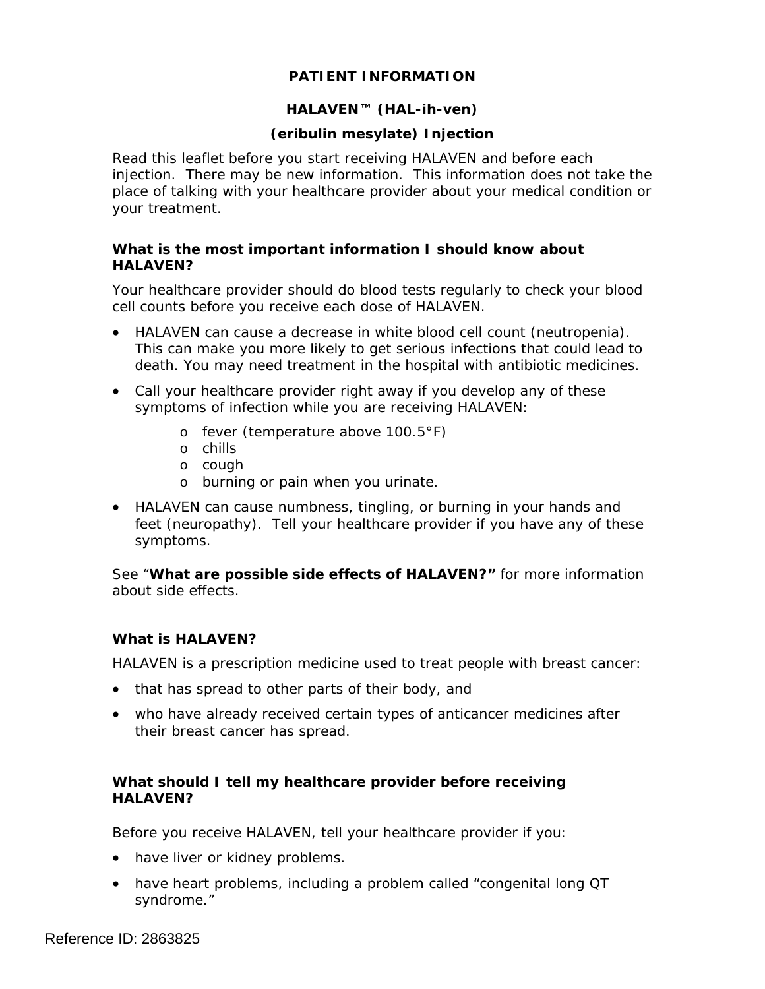# **PATIENT INFORMATION**

# **HALAVEN™ (HAL-ih-ven)**

# **(eribulin mesylate) Injection**

Read this leaflet before you start receiving HALAVEN and before each injection. There may be new information. This information does not take the place of talking with your healthcare provider about your medical condition or your treatment.

# **What is the most important information I should know about HALAVEN?**

Your healthcare provider should do blood tests regularly to check your blood cell counts before you receive each dose of HALAVEN.

- HALAVEN can cause a decrease in white blood cell count (neutropenia). This can make you more likely to get serious infections that could lead to death. You may need treatment in the hospital with antibiotic medicines.
- Call your healthcare provider right away if you develop any of these symptoms of infection while you are receiving HALAVEN:
	- o fever (temperature above  $100.5^{\circ}$ F)
	- o chills
	- o cough
	- o burning or pain when you urinate.
- HALAVEN can cause numbness, tingling, or burning in your hands and feet (neuropathy). Tell your healthcare provider if you have any of these symptoms.

 about side effects*.* See "**What are possible side effects of HALAVEN?"** for more information

# **What is HALAVEN?**

HALAVEN is a prescription medicine used to treat people with breast cancer:

- that has spread to other parts of their body, and
- who have already received certain types of anticancer medicines after their breast cancer has spread.

# **What should I tell my healthcare provider before receiving HALAVEN?**

Before you receive HALAVEN, tell your healthcare provider if you:

- have liver or kidney problems.
- have heart problems, including a problem called "congenital long QT syndrome."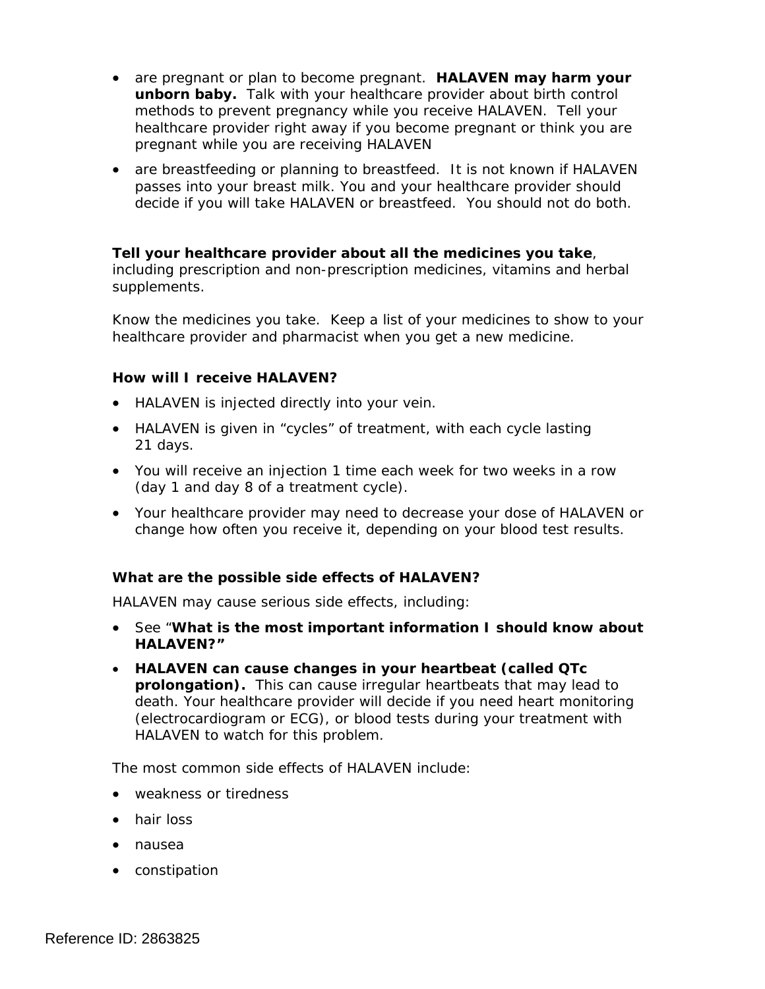- are pregnant or plan to become pregnant. **HALAVEN may harm your unborn baby.** Talk with your healthcare provider about birth control methods to prevent pregnancy while you receive HALAVEN. Tell your healthcare provider right away if you become pregnant or think you are pregnant while you are receiving HALAVEN
- are breastfeeding or planning to breastfeed. It is not known if HALAVEN passes into your breast milk. You and your healthcare provider should decide if you will take HALAVEN or breastfeed. You should not do both.

# **Tell your healthcare provider about all the medicines you take**,

including prescription and non-prescription medicines, vitamins and herbal supplements.

 healthcare provider and pharmacist when you get a new medicine. Know the medicines you take. Keep a list of your medicines to show to your

# **How will I receive HALAVEN?**

- HALAVEN is injected directly into your vein.
- HALAVEN is given in "cycles" of treatment, with each cycle lasting 21 days.
- You will receive an injection 1 time each week for two weeks in a row (day 1 and day 8 of a treatment cycle).
- Your healthcare provider may need to decrease your dose of HALAVEN or change how often you receive it, depending on your blood test results.

# **What are the possible side effects of HALAVEN?**

HALAVEN may cause serious side effects, including:

- • See "**What is the most important information I should know about HALAVEN?"**
- • **HALAVEN can cause changes in your heartbeat (called QTc prolongation).** This can cause irregular heartbeats that may lead to death. Your healthcare provider will decide if you need heart monitoring (electrocardiogram or ECG), or blood tests during your treatment with HALAVEN to watch for this problem.

The most common side effects of HALAVEN include:

- weakness or tiredness
- hair loss
- • nausea
- • constipation